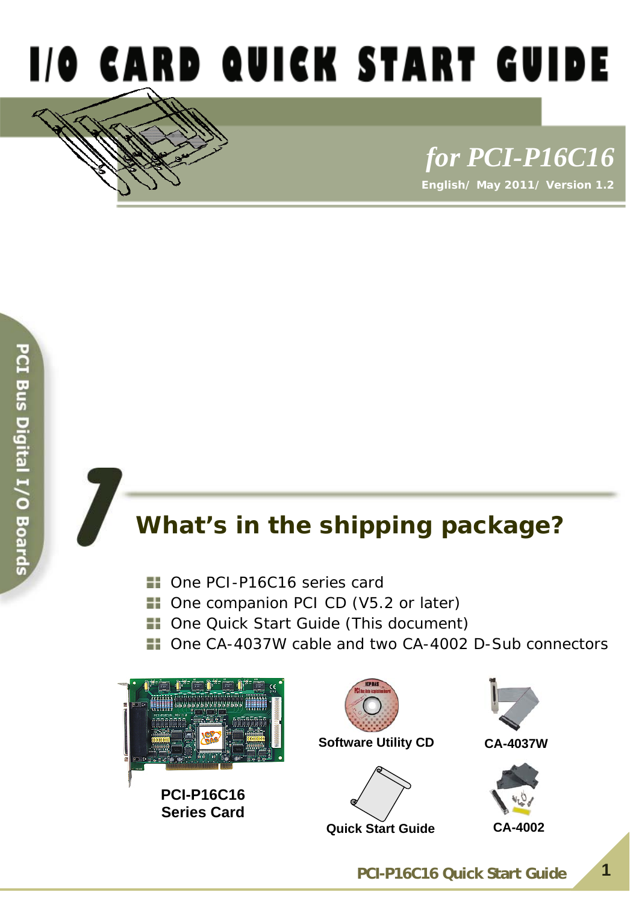

# *for PCI-P16C16*

**English/ May 2011/ Version 1.2**

## **What's in the shipping package?**

- **Deap PCI-P16C16** series card
- **De companion PCI CD (V5.2 or later)**
- **T** One Quick Start Guide (This document)
- One CA-4037W cable and two CA-4002 D-Sub connectors



**PCI-P16C16 Series Card** 







**PCI-P16C16 Quick Start Guide 1**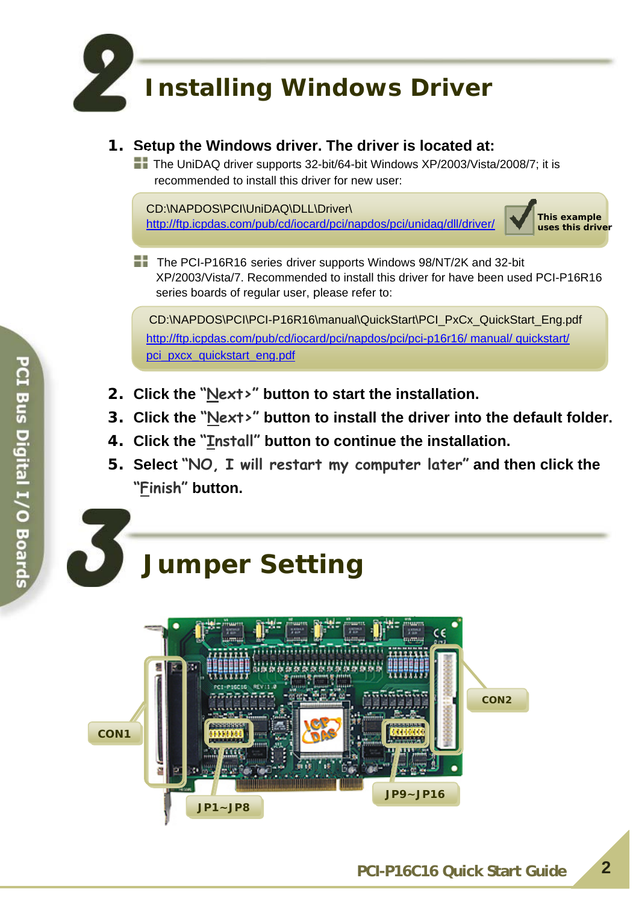

### **1. Setup the Windows driver. The driver is located at:**

**The UniDAQ driver supports 32-bit/64-bit Windows XP/2003/Vista/2008/7; it is** recommended to install this driver for new user:

CD:\NAPDOS\PCI\UniDAQ\DLL\Driver\ <http://ftp.icpdas.com/pub/cd/iocard/pci/napdos/pci/unidaq/dll/driver/>

**This example uses this driver**

**The PCI-P16R16 series driver supports Windows 98/NT/2K and 32-bit** XP/2003/Vista/7. Recommended to install this driver for have been used PCI-P16R16 series boards of regular user, please refer to:

CD:\NAPDOS\PCI\PCI-P16R16\manual\QuickStart\PCI\_PxCx\_QuickStart\_Eng.pdf [http://ftp.icpdas.com/pub/cd/iocard/pci/napdos/pci/pci-p16r16/ manual/ quickstart/](http://ftp.icpdas.com/pub/cd/iocard/pci/napdos/pci/pci-p16r16/manual/quickstart/pci_pxcx_quickstart_eng.pdf) [pci\\_pxcx\\_quickstart\\_eng.pdf](http://ftp.icpdas.com/pub/cd/iocard/pci/napdos/pci/pci-p16r16/manual/quickstart/pci_pxcx_quickstart_eng.pdf)

- **2. Click the "Next>" button to start the installation.**
- **3. Click the "Next>" button to install the driver into the default folder.**
- **4. Click the "Install" button to continue the installation.**
- **5. Select "NO, I will restart my computer later" and then click the "Finish" button.**

# **Jumper Setting**

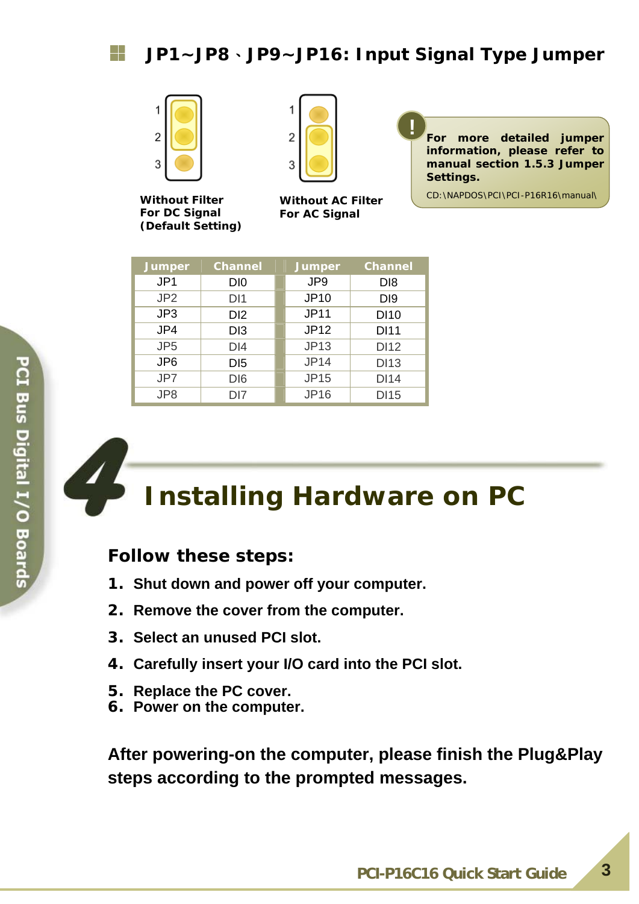

**Without Filter For DC Signal (Default Setting)** 



**Without AC Filter For AC Signal** 

**! For more detailed jumper information, please refer to manual section 1.5.3 Jumper Settings.** 

CD:\NAPDOS\PCI\PCI-P16R16\manual\

| <b>Jumper</b>   | <b>Channel</b>  | Jumper          | <b>Channel</b>  |
|-----------------|-----------------|-----------------|-----------------|
| JP <sub>1</sub> | DI0             | JP <sub>9</sub> | D <sub>18</sub> |
| JP <sub>2</sub> | DI1             | <b>JP10</b>     | D <sub>19</sub> |
| JP3             | D <sub>12</sub> | <b>JP11</b>     | <b>DI10</b>     |
| JP4             | DI <sub>3</sub> | <b>JP12</b>     | <b>DI11</b>     |
| JP <sub>5</sub> | DI4             | <b>JP13</b>     | <b>DI12</b>     |
| JP <sub>6</sub> | D <sub>15</sub> | <b>JP14</b>     | <b>DI13</b>     |
| JP7             | DI <sub>6</sub> | <b>JP15</b>     | <b>DI14</b>     |
| JP8             | DI7             | <b>JP16</b>     | <b>DI15</b>     |

**Installing Hardware on PC** 

**Follow these steps:** 

- **1. Shut down and power off your computer.**
- **2. Remove the cover from the computer.**
- **3. Select an unused PCI slot.**
- **4. Carefully insert your I/O card into the PCI slot.**
- **5. Replace the PC cover.**
- **6. Power on the computer.**

**After powering-on the computer, please finish the Plug&Play steps according to the prompted messages.** 

**PCI-P16C16 Quick Start Guide 3**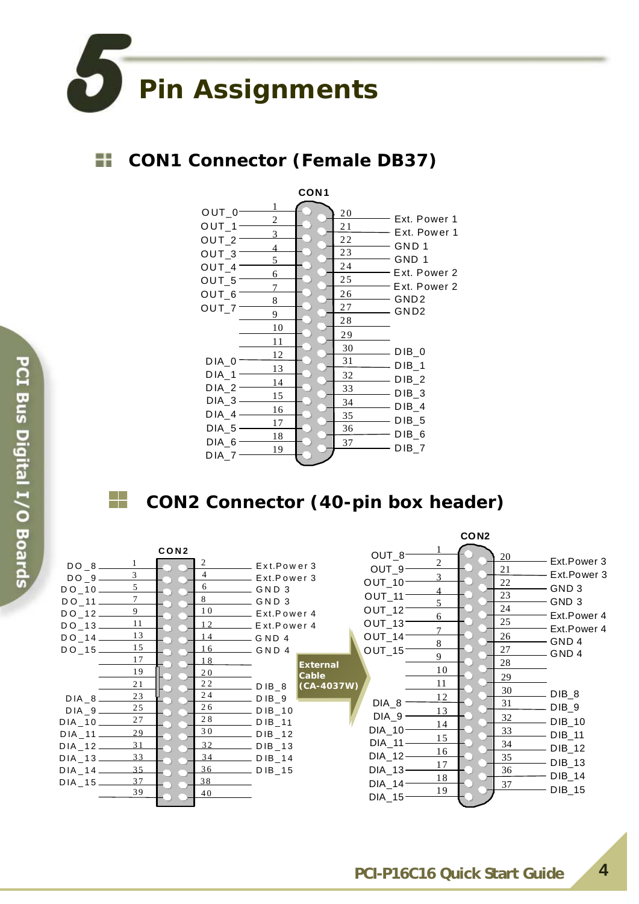

## **CON1 Connector (Female DB37)**



## **CON2 Connector (40-pin box header)**



÷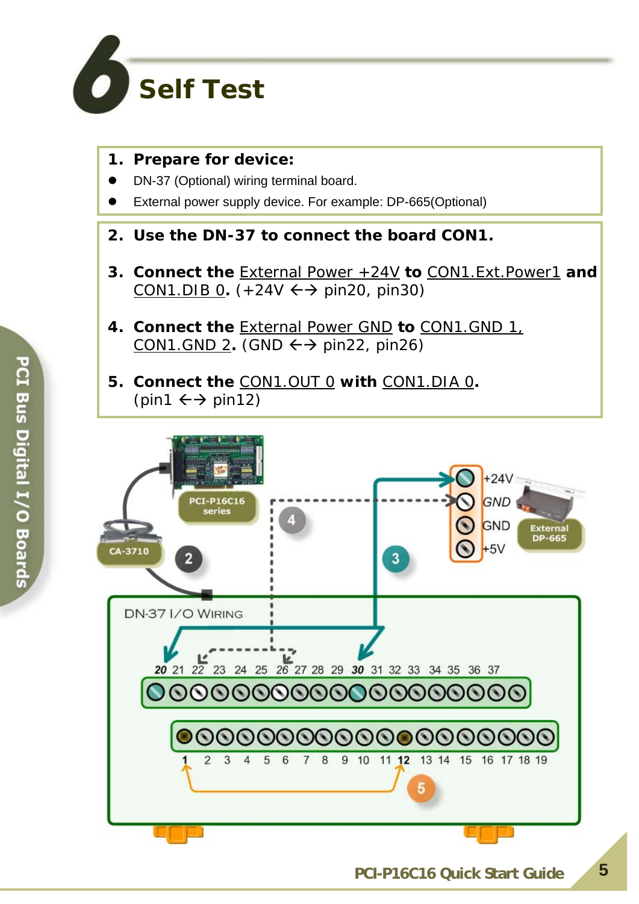

- **1. Prepare for device:**
- DN-37 (Optional) wiring terminal board.
- External power supply device. For example: DP-665(Optional)
- **2. Use the DN-37 to connect the board CON1.**
- **3. Connect the** External Power +24V **to** CON1.Ext.Power1 **and**  CON1.DIB 0.  $(+24V \leftrightarrow pin20, pin30)$
- **4. Connect the** External Power GND **to** CON1.GND 1, CON1.GND 2.  $(SND \leftrightarrow pin22, pin26)$
- **5. Connect the** CON1.OUT 0 **with** CON1.DIA 0**.**  (pin1  $\leftrightarrow$  pin12)

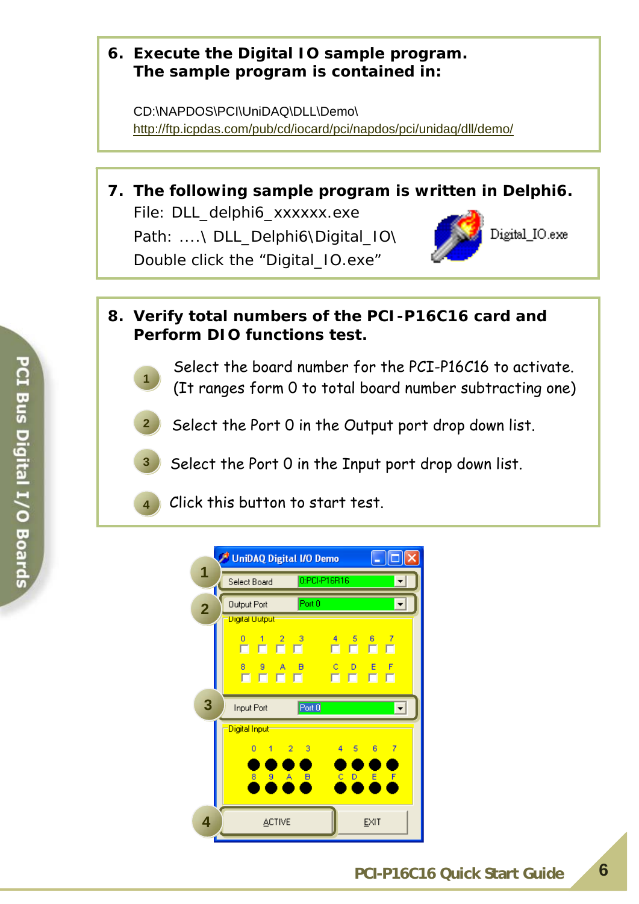**6. Execute the Digital IO sample program. The sample program is contained in:** 

CD:\NAPDOS\PCI\UniDAQ\DLL\Demo\ <http://ftp.icpdas.com/pub/cd/iocard/pci/napdos/pci/unidaq/dll/demo/>

- **7. The following sample program is written in Delphi6.**  File: DLL\_delphi6\_xxxxxx.exe Digital IO.exe Path: ....\ DLL\_Delphi6\Digital\_IO\ Double click the "Digital\_IO.exe"
- **8. Verify total numbers of the PCI-P16C16 card and Perform DIO functions test.**

Select the board number for the PCI-P16C16 to activate. (It ranges form 0 to total board number subtracting one)

- Select the Port 0 in the Output port drop down list.
- **3**  Select the Port 0 in the Input port drop down list.
- **4** Click this button to start test.



**1** 

**2**